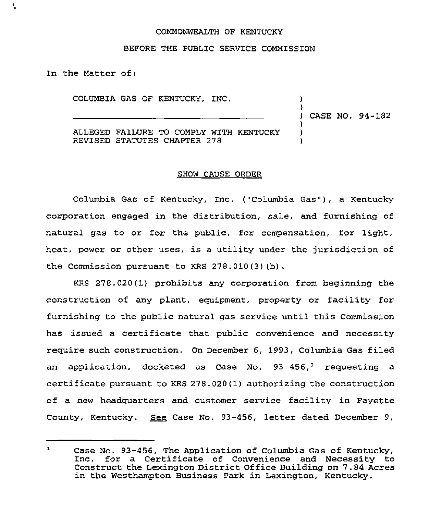## COMMONWEALTH OF KENTUCKY

## BEFORE THE PUBLIC SERVICE COMMISSION

In the Matter of:

÷.

COLUMBIA GAS OF KENTUCKY, INC.

) ) CASE NO. 94-182

)

) ) )

ALLEGED FAILURE TO COMPLY WITH KENTUCKY REVISED STATUTES CHAPTER 278

## SHOW CAUSE ORDER

Columbia Gas of Kentucky, Inc, ("Columbia Gas"), a Kentucky corporation engaged in the distribution, sale, and furnishing of natural gas to or for the public, for compensation, for light, heat, power or other uses, is a utility under the jurisdiction of the Commission pursuant to KRS 278.010(3)(b) .

KRS 278.020(1) prohibits any corporation from beginning the construction of any plant, equipment, property or facility for furnishing to the public natural gas service until this Commission has issued a certificate that public convenience and necessity require such construction. On December 6, 1993, Columbia Gas filed an application, docketed as Case No.  $93-456$ , requesting a certificate pursuant to KRS 278.020(1) authorizing the construction of a new headquarters and customer service facility in Fayette County, Kentucky. See Case No. 93-456, letter dated December 9,

 $\mathbf{1}$ Case No. 93-456, The Application of Columbia Gas of Kentucky, Inc. for <sup>a</sup> Certificate of Convenience and Necessity to Construct the Lexington District Office Building on 7.84 Acres in the Westhampton Business Park in Lexington, Kentucky.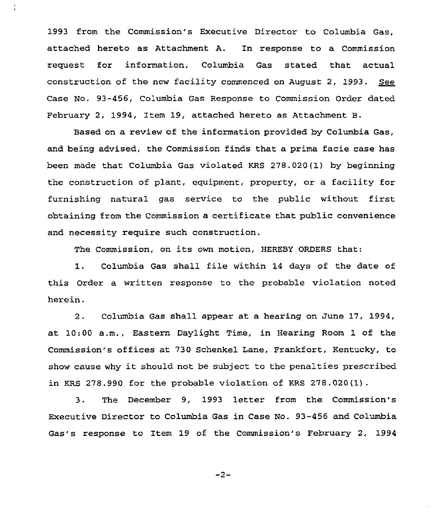1993 from the Commission's Executive Director to Columbia Gas, attached hereto as Attachment A. In response to a Commission request for information, Columbia Gas stated that actual construction of the new facility commenced on August 2, 1993. See Case No. 93-456, Columbia Gas Response to Commission Order dated February 2, 1994, Item 19, attached hereto as Attachment B.

Based on a review of the information provided by Columbia Gas, and heing advised, the Commission finds that a prima facie case has been made that Columbia Gas violated KRS 278.020(1) by beginning the construction of plant, equipment, property, or a facility for furnishing natural gas service to the public without first obtaining from the Commission a certificate that public convenience and necessity require such construction.

The Commission, on its own motion, HEREBY ORDERS that:

1. Columbia Gas shall file w'ithin <sup>14</sup> days of the date of this Order a written response to the probable violation noted herein.

2. Columbia Gas shall appear at a hearing on June 17, 1994, at 10:00 a.m., Eastern Daylight Time, in Hearing Room 1 of the Commission's offices at 730 Schenkel Lane, Frankfort, Kentucky, to show cause why it should not be subject to the penalties prescribed in KRS 278.990 for the probable violation of KRS 278.020(1).

3. The December 9, 1993 letter from the Commission's Executive Director to Columbia Gas in Case No. 93-456 and Columbia Gas's response to Item 19 of the Commission's February 2, 1994

 $-2-$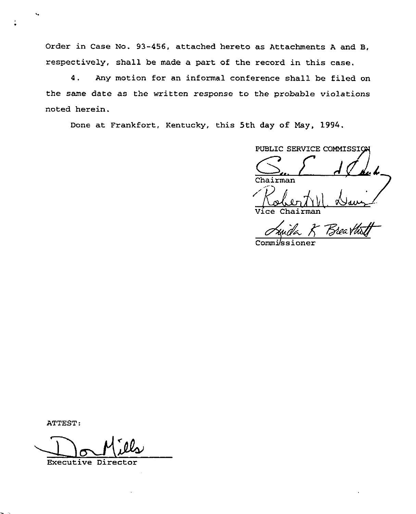Order in Case No. 93-456, attached hereto as Attachments <sup>A</sup> and B, respectively, shall be made a part of the record in this case.

4. Any motion for an informal conference shall be filed on the same date as the written response to the probable violations noted herein.

Done at Frankfort, Kentucky, this 5th day of May, 1994.

PUBLIC SERVICE COMMISSI G.. <sup>F</sup> Chairman Vice Chairma

Bree

Commi/ssioner

ATTEST:

Executive Director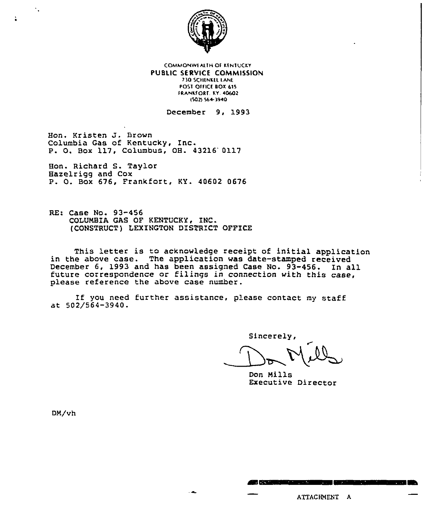

COMMONWEALTH OF KENTUCKY PUBLIC SERVICE COMMISSION 730 SCHENKEL LANE POST OFFICE BOX 615 FRANKFORT. KY. 40602 (502) 564-3940

December 9, 1993

Hon. Kristen J. Brown Columbia Gas of Kentucky, Inc. P. O. Box 117, Columbus, OH. 43216 0117

Hon. Richard S. Taylor Hazelrigg and Cox P. O. Box 676, Frankfort, KY. 40602 0676

RE: Case No. 93-456 COLUMBIA GAS OF KENTUCKY, INC. (CONSTRUCT) LEXINGTON DISTRICT OFFICE

This letter is to acknowledge receipt of initial application in the above case. The application was date-stamped received December 6, 1993 and has been assigned Case No. 93-456. In all future correspondence or filings in connection with this case, please reference the above case number.

If you need further assistance, please contact my staff at  $502/564-3940$ .

Sincerely,

**GREEKS START** 

Don Mills Executive Director

DN/vh

٠.